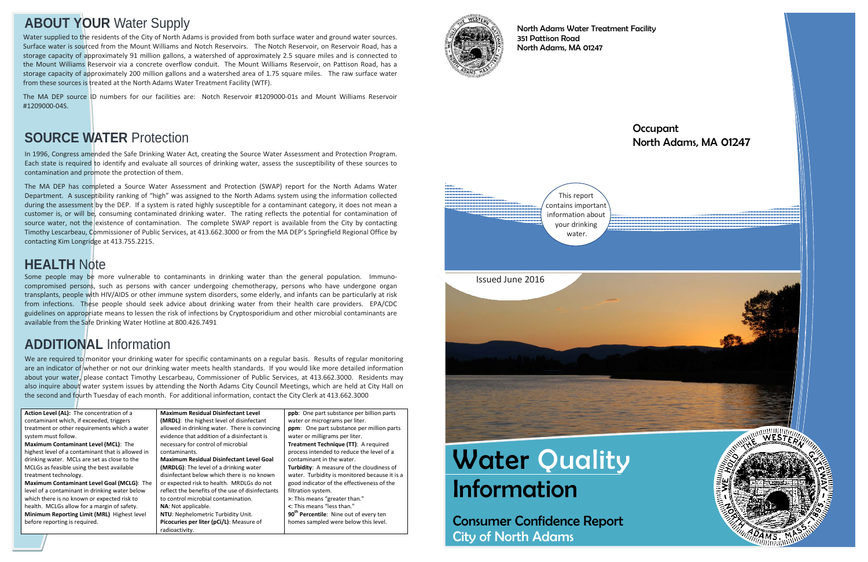# **Water Quality** Information

Consumer Confidence Report City of North Adams

**Occupant** North Adams, MA 01247



North Adams Water Treatment Facility 351 Pattison Road North Adams, MA 01247

# **ABOUT YOUR** Water Supply

In 1996, Congress amended the Safe Drinking Water Act, creating the Source Water Assessment and Protection Program. Each state is required to identify and evaluate all sources of drinking water, assess the susceptibility of these sources to contamination and promote the protection of them.

The MA DEP has completed a Source Water Assessment and Protection (SWAP) report for the North Adams Water Department. A susceptibility ranking of "high" was assigned to the North Adams system using the information collected during the assessment by the DEP. If a system is rated highly susceptible for a contaminant category, it does not mean a customer is, or will be, consuming contaminated drinking water. The rating reflects the potential for contamination of source water, not the existence of contamination. The complete SWAP report is available from the City by contacting Timothy Lescarbeau, Commissioner of Public Services, at 413.662.3000 or from the MA DEP's Springfield Regional Office by contacting Kim Longridge at 413.755.2215.

We are required to monitor your drinking water for specific contaminants on a regular basis. Results of regular monitoring are an indicator of whether or not our drinking water meets health standards. If you would like more detailed information about your water, please contact Timothy Lescarbeau, Commissioner of Public Services, at 413.662.3000. Residents may also inquire about water system issues by attending the North Adams City Council Meetings, which are held at City Hall on the second and fourth Tuesday of each month. For additional information, contact the City Clerk at 413.662.3000

# **SOURCE WATER** Protection

**Action Level (AL):** The concentration of a contaminant which, if exceeded, triggers treatment or other requirements which a water system must follow. **Maximum Contaminant Level (MCL)**: The highest level of a contaminant that is allowed in drinking water. MCLs are set as close to the MCLGs as feasible using the best available treatment technology. **Maximum Contaminant Level Goal (MCLG)**: The level of a contaminant in drinking water below which there is no known or expected risk to health. MCLGs allow for a margin of safety. **Minimum Reporting Limit (MRL)** Highest level before reporting is required.



**Maximum Residual Disinfectant Level (MRDL)**: the highest level of disinfectant allowed in drinking water. There is convincing evidence that addition of a disinfectant is necessary for control of microbial contaminants. **Maximum Residual Disinfectant Level Goal (MRDLG)**: The level of a drinking water disinfectant below which there is no known or expected risk to health. MRDLGs do not reflect the benefits of the use of disinfectants to control microbial contamination.

**NA**: Not applicable. **NTU**: Nephelometric Turbidity Unit. **Picocuries per liter (pCi/L)**: Measure of radioactivity.

**ppb**: One part substance per billion parts water or micrograms per liter. **ppm**: One part substance per million parts water or milligrams per liter. **Treatment Technique (TT)**: A required process intended to reduce the level of a contaminant in the water. **Turbidity**: A measure of the cloudiness of water. Turbidity is monitored because it is a good indicator of the effectiveness of the filtration system. **>**: This means "greater than." **<**: This means "less than." **90<sup>th</sup> Percentile**: Nine out of every ten homes sampled were below this level.



# **ADDITIONAL** Information

Some people may be more vulnerable to contaminants in drinking water than the general population. Immunocompromised persons, such as persons with cancer undergoing chemotherapy, persons who have undergone organ transplants, people with HIV/AIDS or other immune system disorders, some elderly, and infants can be particularly at risk from infections. These people should seek advice about drinking water from their health care providers. EPA/CDC guidelines on appropriate means to lessen the risk of infections by Cryptosporidium and other microbial contaminants are available from the Safe Drinking Water Hotline at 800.426.7491

### **HEALTH** Note

Water supplied to the residents of the City of North Adams is provided from both surface water and ground water sources. Surface water is sourced from the Mount Williams and Notch Reservoirs. The Notch Reservoir, on Reservoir Road, has a storage capacity of approximately 91 million gallons, a watershed of approximately 2.5 square miles and is connected to the Mount Williams Reservoir via a concrete overflow conduit. The Mount Williams Reservoir, on Pattison Road, has a storage capacity of approximately 200 million gallons and a watershed area of 1.75 square miles. The raw surface water from these sources is treated at the North Adams Water Treatment Facility (WTF).

The MA DEP source ID numbers for our facilities are: Notch Reservoir #1209000-01s and Mount Williams Reservoir #1209000-04S.